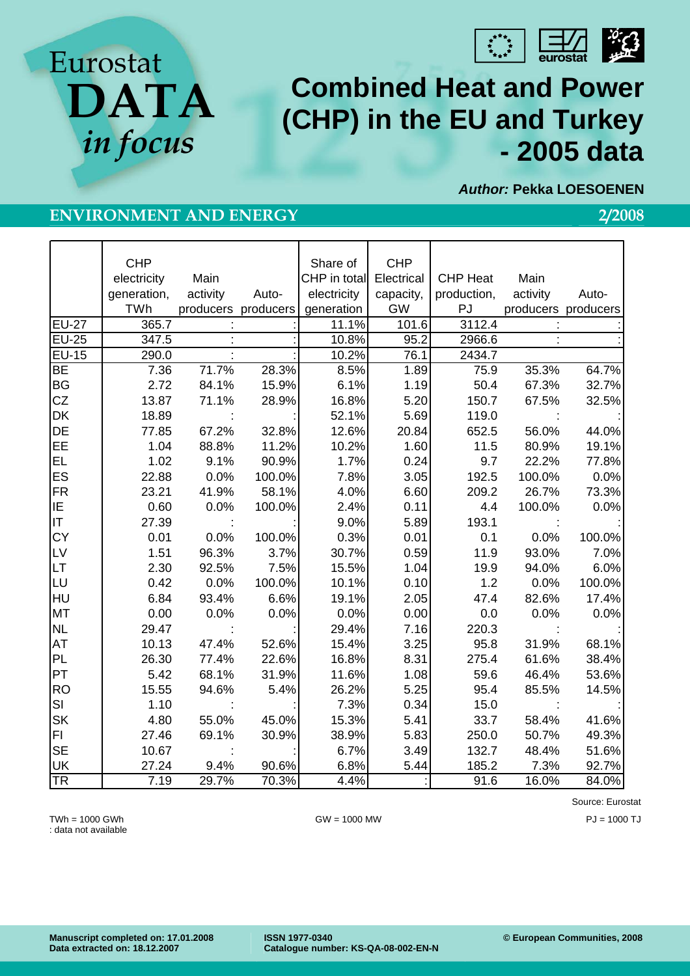

*Author:* **Pekka LOESOENEN** 

# **Combined Heat and Power (CHP) in the EU and Turkey - 2005 data**

## **ENVIRONMENT AND ENERGY 2/2008**

**DATA** 

*in focus* 

**CHP** electricity generation, TWh Main activity producers producers Auto-Share of CHP in total electricity generation CHP **Electrical** capacity, GW CHP Heat production, PJ Main activity producers producers Auto-EU-27 | 365.7 : : : : 11.1% 101.6 3112.4 : : : EU-25 | 347.5 : : : : : 10.8%| 95.2| 2966.6 : : : EU-15 290.0 : : 10.2% 76.1 2434.7 BE 7.36 71.7% 28.3% 8.5% 1.89 75.9 35.3% 64.7% BG 2.72 84.1% 15.9% 6.1% 1.19 50.4 67.3% 32.7% CZ 13.87 71.1% 28.9% 16.8% 5.20 150.7 67.5% 32.5% DK | 18.89 : : : 52.1% 5.69 119.0 : : DE 77.85 67.2% 32.8% 12.6% 20.84 652.5 56.0% 44.0% EE 1.04 88.8% 11.2% 10.2% 1.60 11.5 80.9% 19.1% EL 1.02 9.1% 90.9% 1.7% 0.24 9.7 22.2% 77.8% ES 22.88 0.0% 100.0% 7.8% 3.05 192.5 100.0% 0.0% FR 23.21 41.9% 58.1% 4.0% 6.60 209.2 26.7% 73.3% IE 0.60 0.0% 100.0% 2.4% 0.11 4.4 100.0% 0.0% IT | 27.39 : : : 9.0%| 5.89| 193.1 : : : CY 0.01 0.0% 100.0% 0.3% 0.01 0.1 0.0% 100.0% LV 1.51 96.3% 3.7% 30.7% 0.59 11.9 93.0% 7.0% LT 2.30 92.5% 7.5% 15.5% 1.04 19.9 94.0% 6.0% LU 0.42 0.0% 100.0% 10.1% 0.10 1.2 0.0% 100.0% HU 6.84 93.4% 6.6% 19.1% 2.05 47.4 82.6% 17.4% MT 0.00 0.0% 0.0% 0.0% 0.00 0.0 0.0% 0.0% NL | 29.47 : : : 29.4%| 7.16| 220.3 : : : AT 10.13 47.4% 52.6% 15.4% 3.25 95.8 31.9% 68.1% PL 26.30 77.4% 22.6% 16.8% 8.31 275.4 61.6% 38.4% PT 5.42 68.1% 31.9% 11.6% 1.08 59.6 46.4% 53.6% RO 15.55 94.6% 5.4% 26.2% 5.25 95.4 85.5% 14.5% SI | 1.10 : : : 7.3% | 0.34 | 15.0 : : : SK 4.80 55.0% 45.0% 15.3% 5.41 33.7 58.4% 41.6% FI 27.46 69.1% 30.9% 38.9% 5.83 250.0 50.7% 49.3% SE 10.67 : : 6.7% 3.49 132.7 48.4% 51.6% UK 27.24 9.4% 90.6% 6.8% 5.44 185.2 7.3% 92.7% TR 7.19 29.7% 70.3% 4.4% : 91.6 16.0% 84.0%

: data not available

TWh = 1000 GWh GW = 1000 MW PJ = 1000 TJ

Source: Eurostat